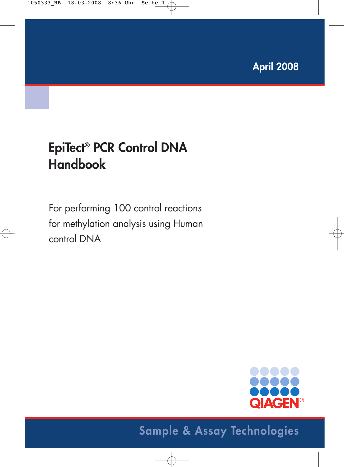# **EpiTect® PCR Control DNA Handbook**

For performing 100 control reactions for methylation analysis using Human control DNA



# **Sample & Assay Technologies**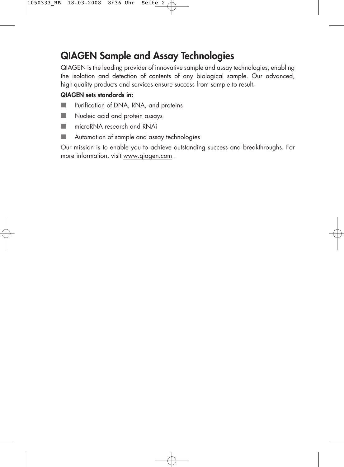### **QIAGEN Sample and Assay Technologies**

QIAGEN is the leading provider of innovative sample and assay technologies, enabling the isolation and detection of contents of any biological sample. Our advanced, high-quality products and services ensure success from sample to result.

#### **QIAGEN sets standards in:**

- Purification of DNA, RNA, and proteins
- Nucleic acid and protein assays
- microRNA research and RNAi
- Automation of sample and assay technologies

Our mission is to enable you to achieve outstanding success and breakthroughs. For more information, visit www.qiagen.com .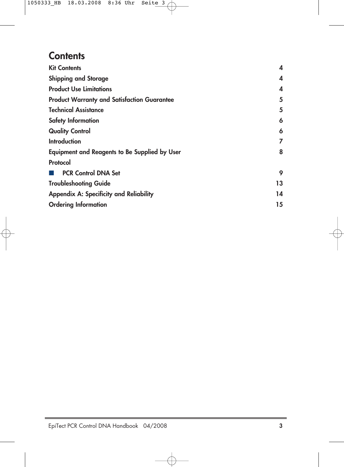### **Contents**

| <b>Kit Contents</b>                                  | 4  |
|------------------------------------------------------|----|
| <b>Shipping and Storage</b>                          | 4  |
| <b>Product Use Limitations</b>                       | 4  |
| <b>Product Warranty and Satisfaction Guarantee</b>   | 5  |
| <b>Technical Assistance</b>                          | 5  |
| <b>Safety Information</b>                            | 6  |
| <b>Quality Control</b>                               | 6  |
| <b>Introduction</b>                                  | 7  |
| <b>Equipment and Reagents to Be Supplied by User</b> | 8  |
| Protocol                                             |    |
| <b>PCR Control DNA Set</b>                           | 9  |
| <b>Troubleshooting Guide</b>                         | 13 |
| <b>Appendix A: Specificity and Reliability</b>       | 14 |
| <b>Ordering Information</b>                          | 15 |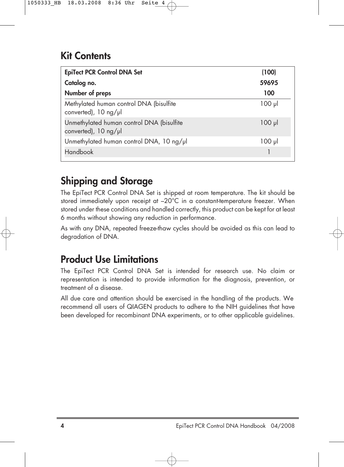### **Kit Contents**

| <b>EpiTect PCR Control DNA Set</b>                                                 | (100)       |
|------------------------------------------------------------------------------------|-------------|
| Catalog no.                                                                        | 59695       |
| Number of preps                                                                    | 100         |
| Methylated human control DNA (bisulfite<br>converted), 10 ng/µl                    | $100$ $\mu$ |
| Unmethylated human control DNA (bisulfite<br>converted), $10 \text{ ng}/\text{pl}$ | $100$ $\mu$ |
| Unmethylated human control DNA, 10 ng/µl                                           | $100$ $\mu$ |
| <b>Handbook</b>                                                                    |             |

## **Shipping and Storage**

The EpiTect PCR Control DNA Set is shipped at room temperature. The kit should be stored immediately upon receipt at –20°C in a constant-temperature freezer. When stored under these conditions and handled correctly, this product can be kept for at least 6 months without showing any reduction in performance.

As with any DNA, repeated freeze-thaw cycles should be avoided as this can lead to degradation of DNA.

### **Product Use Limitations**

The EpiTect PCR Control DNA Set is intended for research use. No claim or representation is intended to provide information for the diagnosis, prevention, or treatment of a disease.

All due care and attention should be exercised in the handling of the products. We recommend all users of QIAGEN products to adhere to the NIH guidelines that have been developed for recombinant DNA experiments, or to other applicable guidelines.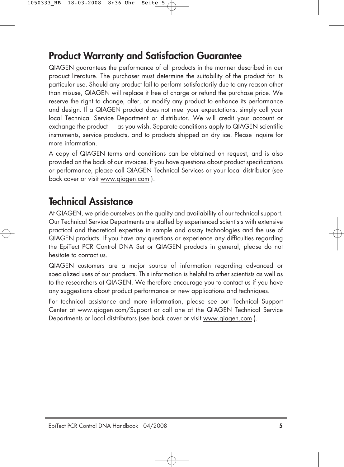### **Product Warranty and Satisfaction Guarantee**

QIAGEN guarantees the performance of all products in the manner described in our product literature. The purchaser must determine the suitability of the product for its particular use. Should any product fail to perform satisfactorily due to any reason other than misuse, QIAGEN will replace it free of charge or refund the purchase price. We reserve the right to change, alter, or modify any product to enhance its performance and design. If a QIAGEN product does not meet your expectations, simply call your local Technical Service Department or distributor. We will credit your account or exchange the product — as you wish. Separate conditions apply to QIAGEN scientific instruments, service products, and to products shipped on dry ice. Please inquire for more information.

A copy of QIAGEN terms and conditions can be obtained on request, and is also provided on the back of our invoices. If you have questions about product specifications or performance, please call QIAGEN Technical Services or your local distributor (see back cover or visit www.qiagen.com ).

### **Technical Assistance**

At QIAGEN, we pride ourselves on the quality and availability of our technical support. Our Technical Service Departments are staffed by experienced scientists with extensive practical and theoretical expertise in sample and assay technologies and the use of QIAGEN products. If you have any questions or experience any difficulties regarding the EpiTect PCR Control DNA Set or QIAGEN products in general, please do not hesitate to contact us.

QIAGEN customers are a major source of information regarding advanced or specialized uses of our products. This information is helpful to other scientists as well as to the researchers at QIAGEN. We therefore encourage you to contact us if you have any suggestions about product performance or new applications and techniques.

For technical assistance and more information, please see our Technical Support Center at www.qiagen.com/Support or call one of the QIAGEN Technical Service Departments or local distributors (see back cover or visit www.qiagen.com ).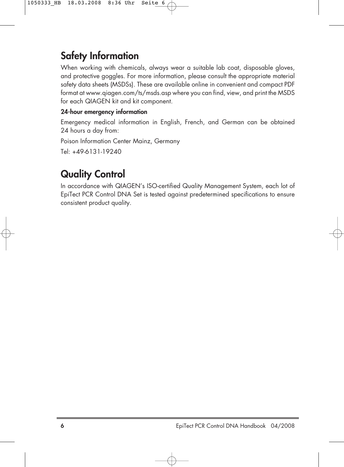### **Safety Information**

When working with chemicals, always wear a suitable lab coat, disposable gloves, and protective goggles. For more information, please consult the appropriate material safety data sheets (MSDSs). These are available online in convenient and compact PDF format at www.qiagen.com/ts/msds.asp where you can find, view, and print the MSDS for each QIAGEN kit and kit component.

### **24-hour emergency information**

Emergency medical information in English, French, and German can be obtained 24 hours a day from:

Poison Information Center Mainz, Germany

Tel: +49-6131-19240

## **Quality Control**

In accordance with QIAGEN's ISO-certified Quality Management System, each lot of EpiTect PCR Control DNA Set is tested against predetermined specifications to ensure consistent product quality.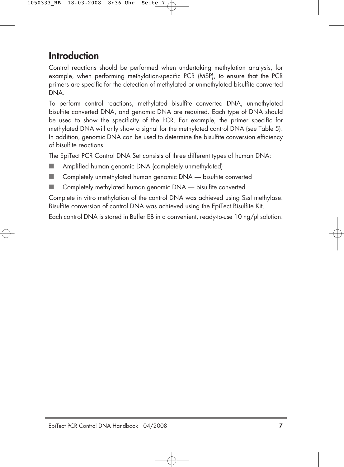### **Introduction**

Control reactions should be performed when undertaking methylation analysis, for example, when performing methylation-specific PCR (MSP), to ensure that the PCR primers are specific for the detection of methylated or unmethylated bisulfite converted DNA.

To perform control reactions, methylated bisulfite converted DNA, unmethylated bisulfite converted DNA, and genomic DNA are required. Each type of DNA should be used to show the specificity of the PCR. For example, the primer specific for methylated DNA will only show a signal for the methylated control DNA (see Table 5). In addition, genomic DNA can be used to determine the bisulfite conversion efficiency of bisulfite reactions.

The EpiTect PCR Control DNA Set consists of three different types of human DNA:

- Amplified human genomic DNA (completely unmethylated)
- Completely unmethylated human genomic DNA bisulfite converted
- Completely methylated human genomic DNA bisulfite converted

Complete in vitro methylation of the control DNA was achieved using SssI methylase. Bisulfite conversion of control DNA was achieved using the EpiTect Bisulfite Kit.

Each control DNA is stored in Buffer EB in a convenient, ready-to-use 10 ng/µl solution.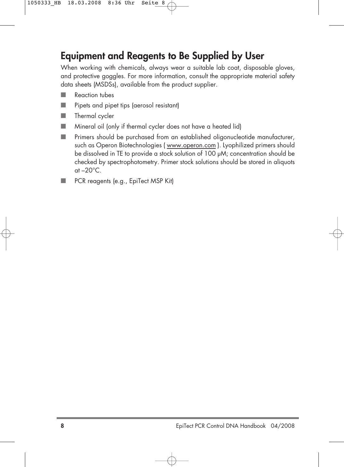### **Equipment and Reagents to Be Supplied by User**

When working with chemicals, always wear a suitable lab coat, disposable gloves, and protective goggles. For more information, consult the appropriate material safety data sheets (MSDSs), available from the product supplier.

- Reaction tubes
- Pipets and pipet tips (aerosol resistant)
- Thermal cycler
- Mineral oil (only if thermal cycler does not have a heated lid)
- Primers should be purchased from an established oligonucleotide manufacturer, such as Operon Biotechnologies ( www.operon.com ). Lyophilized primers should be dissolved in TE to provide a stock solution of 100 µM; concentration should be checked by spectrophotometry. Primer stock solutions should be stored in aliquots at  $-20^{\circ}$ C.
- PCR reagents (e.g., EpiTect MSP Kit)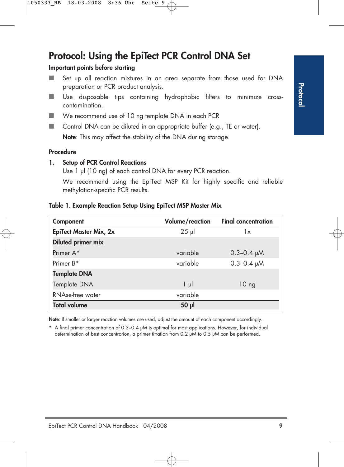### **Protocol: Using the EpiTect PCR Control DNA Set**

#### **Important points before starting**

- Set up all reaction mixtures in an area separate from those used for DNA preparation or PCR product analysis.
- Use disposable tips containing hydrophobic filters to minimize crosscontamination.
- We recommend use of 10 ng template DNA in each PCR
- Control DNA can be diluted in an appropriate buffer (e.g., TE or water). **Note**: This may affect the stability of the DNA during storage.

#### **Procedure**

#### **1. Setup of PCR Control Reactions**

Use 1 µl (10 ng) of each control DNA for every PCR reaction.

We recommend using the EpiTect MSP Kit for highly specific and reliable methylation-specific PCR results.

#### **Table 1. Example Reaction Setup Using EpiTect MSP Master Mix**

| Component                     | Volume/reaction | <b>Final concentration</b> |
|-------------------------------|-----------------|----------------------------|
| <b>EpiTect Master Mix, 2x</b> | $25$ µ          | 1x                         |
| Diluted primer mix            |                 |                            |
| Primer A*                     | variable        | $0.3 - 0.4$ pM             |
| Primer B <sup>*</sup>         | variable        | $0.3 - 0.4$ pM             |
| <b>Template DNA</b>           |                 |                            |
| Template DNA                  | $1 \mu$         | 10 <sub>ng</sub>           |
| RNAse-free water              | variable        |                            |
| <b>Total volume</b>           | 50 <sub>µ</sub> |                            |

**Note**: If smaller or larger reaction volumes are used, adjust the amount of each component accordingly.

\* A final primer concentration of 0.3–0.4 µM is optimal for most applications. However, for individual determination of best concentration, a primer titration from 0.2 µM to 0.5 µM can be performed.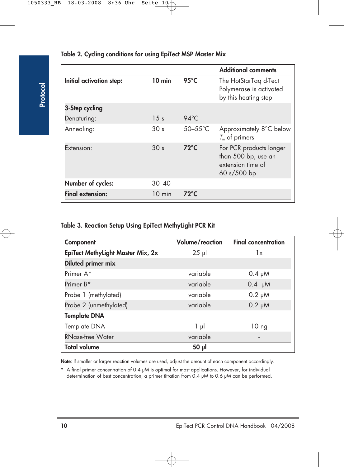|                          |                  |                | <b>Additional comments</b>                                                         |
|--------------------------|------------------|----------------|------------------------------------------------------------------------------------|
| Initial activation step: | $10$ min         | 95 $\degree$ C | The HotStarTag d-Tect<br>Polymerase is activated<br>by this heating step           |
| 3-Step cycling           |                  |                |                                                                                    |
| Denaturing:              | $1.5$ s          | $94^{\circ}$ C |                                                                                    |
| Annealing:               | 30 <sub>s</sub>  | $50-55$ °C     | Approximately 8°C below<br>$T_m$ of primers                                        |
| Extension:               | 30 <sub>s</sub>  | $72^{\circ}$ C | For PCR products longer<br>than 500 bp, use an<br>extension time of<br>60 s/500 bp |
| Number of cycles:        | $30 - 40$        |                |                                                                                    |
| <b>Final extension:</b>  | $10 \text{ min}$ | $72^{\circ}$ C |                                                                                    |

#### **Table 2. Cycling conditions for using EpiTect MSP Master Mix**

#### **Table 3. Reaction Setup Using EpiTect MethyLight PCR Kit**

| Component                         | Volume/reaction | <b>Final concentration</b>   |
|-----------------------------------|-----------------|------------------------------|
| EpiTect MethyLight Master Mix, 2x | $25$ µ          | 1x                           |
| Diluted primer mix                |                 |                              |
| Primer A*                         | variable        | $0.4 \mu M$                  |
| Primer B*                         | variable        | $0.4 \mu M$                  |
| Probe 1 (methylated)              | variable        | $0.2 \mu M$                  |
| Probe 2 (unmethylated)            | variable        | $0.2 \mu M$                  |
| <b>Template DNA</b>               |                 |                              |
| Template DNA                      | $1 \mu$         | 10 <sub>ng</sub>             |
| <b>RNase-free Water</b>           | variable        | $\qquad \qquad \blacksquare$ |
| <b>Total volume</b>               | 50 µl           |                              |

**Note**: If smaller or larger reaction volumes are used, adjust the amount of each component accordingly.

\* A final primer concentration of 0.4 µM is optimal for most applications. However, for individual determination of best concentration, a primer titration from 0.4  $\mu$ M to 0.6  $\mu$ M can be performed.

**Protocol**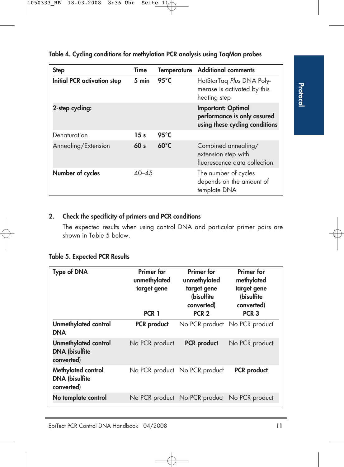| <b>Step</b>                        | Time            | <b>Temperature</b> | <b>Additional comments</b>                                                                 |
|------------------------------------|-----------------|--------------------|--------------------------------------------------------------------------------------------|
| <b>Initial PCR activation step</b> | 5 min           | $95^{\circ}$ C     | HotStarTaq Plus DNA Poly-<br>merase is activated by this<br>heating step                   |
| 2-step cycling:                    |                 |                    | <b>Important: Optimal</b><br>performance is only assured<br>using these cycling conditions |
| Denaturation                       | 15 <sub>s</sub> | $95^{\circ}$ C     |                                                                                            |
| Annealing/Extension                | 60 <sub>s</sub> | $60^{\circ}$ C     | Combined annealing/<br>extension step with<br>fluorescence data collection                 |
| Number of cycles                   | $40 - 4.5$      |                    | The number of cycles<br>depends on the amount of<br>template DNA                           |

**Table 4. Cycling conditions for methylation PCR analysis using TaqMan probes**

### **2. Check the specificity of primers and PCR conditions**

The expected results when using control DNA and particular primer pairs are shown in Table 5 below.

|  |  | <b>Table 5. Expected PCR Results</b> |  |  |
|--|--|--------------------------------------|--|--|
|--|--|--------------------------------------|--|--|

| Type of DNA                                                        | <b>Primer</b> for<br>unmethylated<br>target gene<br>PCR 1 | Primer for<br>unmethylated<br>target gene<br>(bisulfite<br>converted)<br>PCR <sub>2</sub> | <b>Primer</b> for<br>methylated<br>target gene<br>(bisulfite<br>converted)<br>PCR <sub>3</sub> |
|--------------------------------------------------------------------|-----------------------------------------------------------|-------------------------------------------------------------------------------------------|------------------------------------------------------------------------------------------------|
| Unmethylated control<br><b>DNA</b>                                 | <b>PCR</b> product                                        |                                                                                           | No PCR product No PCR product                                                                  |
| <b>Unmethylated control</b><br><b>DNA (bisulfite</b><br>converted) | No PCR product                                            | <b>PCR</b> product                                                                        | No PCR product                                                                                 |
| Methylated control<br><b>DNA (bisulfite</b><br>converted)          |                                                           | No PCR product No PCR product                                                             | <b>PCR</b> product                                                                             |
| No template control                                                |                                                           | No PCR product No PCR product No PCR product                                              |                                                                                                |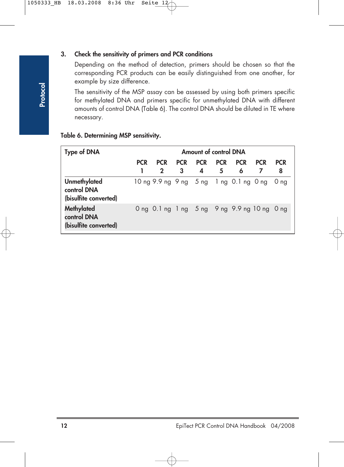#### **3. Check the sensitivity of primers and PCR conditions**

Depending on the method of detection, primers should be chosen so that the corresponding PCR products can be easily distinguished from one another, for example by size difference.

The sensitivity of the MSP assay can be assessed by using both primers specific for methylated DNA and primers specific for unmethylated DNA with different amounts of control DNA (Table 6). The control DNA should be diluted in TE where necessary.

|  |  |  |  |  | Table 6. Determining MSP sensitivity. |  |
|--|--|--|--|--|---------------------------------------|--|
|--|--|--|--|--|---------------------------------------|--|

| <b>Type of DNA</b>                                          |            | Amount of control DNA     |                 |                 |                 |                                             |            |                 |
|-------------------------------------------------------------|------------|---------------------------|-----------------|-----------------|-----------------|---------------------------------------------|------------|-----------------|
|                                                             | <b>PCR</b> | <b>PCR</b><br>$\mathbf 2$ | <b>PCR</b><br>3 | <b>PCR</b><br>4 | <b>PCR</b><br>5 | <b>PCR</b><br>6                             | <b>PCR</b> | <b>PCR</b><br>8 |
| <b>Unmethylated</b><br>control DNA<br>(bisulfite converted) |            |                           |                 |                 |                 | 10 ng 9.9 ng 9 ng 5 ng 1 ng 0.1 ng 0 ng     |            | 0 <sub>ng</sub> |
| <b>Methylated</b><br>control DNA<br>(bisulfite converted)   |            |                           |                 |                 |                 | Ong 0.1 ng 1 ng 5 ng 9 ng 9.9 ng 10 ng 0 ng |            |                 |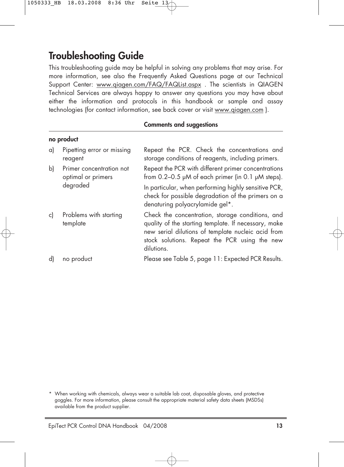### **Troubleshooting Guide**

This troubleshooting guide may be helpful in solving any problems that may arise. For more information, see also the Frequently Asked Questions page at our Technical Support Center: www.qiagen.com/FAQ/FAQList.aspx . The scientists in QIAGEN Technical Services are always happy to answer any questions you may have about either the information and protocols in this handbook or sample and assay technologies (for contact information, see back cover or visit www.qiagen.com ).

#### **Comments and suggestions**

|    | no product                                     |                                                                                                                                                                                                                               |
|----|------------------------------------------------|-------------------------------------------------------------------------------------------------------------------------------------------------------------------------------------------------------------------------------|
| a) | Pipetting error or missing<br>reagent          | Repeat the PCR. Check the concentrations and<br>storage conditions of reagents, including primers.                                                                                                                            |
| b) | Primer concentration not<br>optimal or primers | Repeat the PCR with different primer concentrations<br>from $0.2-0.5$ $\mu$ M of each primer (in 0.1 $\mu$ M steps).                                                                                                          |
|    | degraded                                       | In particular, when performing highly sensitive PCR,<br>check for possible degradation of the primers on a<br>denaturing polyacrylamide gel*.                                                                                 |
| c) | Problems with starting<br>template             | Check the concentration, storage conditions, and<br>quality of the starting template. If necessary, make<br>new serial dilutions of template nucleic acid from<br>stock solutions. Repeat the PCR using the new<br>dilutions. |
| d) | no product                                     | Please see Table 5, page 11: Expected PCR Results.                                                                                                                                                                            |

\* When working with chemicals, always wear a suitable lab coat, disposable gloves, and protective goggles. For more information, please consult the appropriate material safety data sheets (MSDSs) available from the product supplier.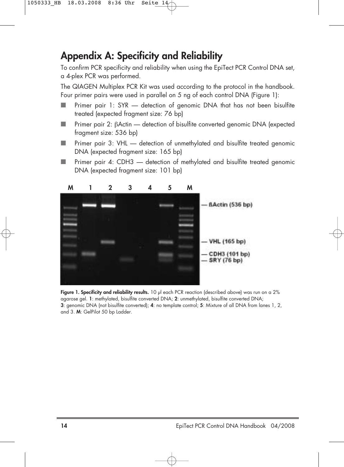### **Appendix A: Specificity and Reliability**

To confirm PCR specificity and reliability when using the EpiTect PCR Control DNA set, a 4-plex PCR was performed.

The QIAGEN Multiplex PCR Kit was used according to the protocol in the handbook. Four primer pairs were used in parallel on 5 ng of each control DNA (Figure 1):

- Primer pair 1: SYR detection of genomic DNA that has not been bisulfite treated (expected fragment size: 76 bp)
- Primer pair 2: BActin detection of bisulfite converted genomic DNA (expected fragment size: 536 bp)
- Primer pair 3: VHL detection of unmethylated and bisulfite treated genomic DNA (expected fragment size: 165 bp)
- Primer pair 4: CDH3 detection of methylated and bisulfite treated genomic DNA (expected fragment size: 101 bp)



**Figure 1. Specificity and reliability results.** 10 µl each PCR reaction (described above) was run on a 2% agarose gel. **1**: methylated, bisulfite converted DNA; **2**: unmethylated, bisulfite converted DNA; **3**: genomic DNA (not bisulfite converted); **4**: no template control; **5**: Mixture of all DNA from lanes 1, 2, and 3. **M**: GelPilot 50 bp Ladder.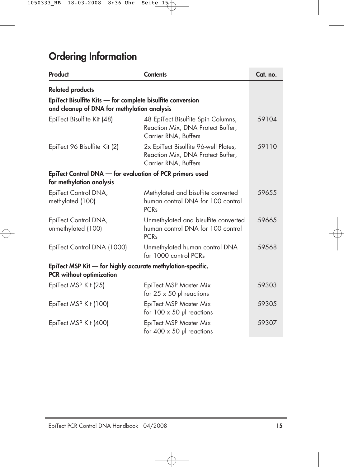# **Ordering Information**

| Product                                                                                                   | <b>Contents</b>                                                                                     | Cat. no. |
|-----------------------------------------------------------------------------------------------------------|-----------------------------------------------------------------------------------------------------|----------|
| <b>Related products</b>                                                                                   |                                                                                                     |          |
| EpiTect Bisulfite Kits - for complete bisulfite conversion<br>and cleanup of DNA for methylation analysis |                                                                                                     |          |
| EpiTect Bisulfite Kit (48)                                                                                | 48 EpiTect Bisulfite Spin Columns,<br>Reaction Mix, DNA Protect Buffer,<br>Carrier RNA, Buffers     | 59104    |
| EpiTect 96 Bisulfite Kit (2)                                                                              | 2x EpiTect Bisulfite 96-well Plates,<br>Reaction Mix, DNA Protect Buffer,<br>Carrier RNA, Buffers   | 59110    |
| EpiTect Control DNA - for evaluation of PCR primers used<br>for methylation analysis                      |                                                                                                     |          |
| EpiTect Control DNA,<br>methylated (100)                                                                  | Methylated and bisulfite converted<br>human control DNA for 100 control<br><b>PCR<sub>s</sub></b>   | 59655    |
| EpiTect Control DNA,<br>unmethylated (100)                                                                | Unmethylated and bisulfite converted<br>human control DNA for 100 control<br><b>PCR<sub>s</sub></b> | 59665    |
| EpiTect Control DNA (1000)                                                                                | Unmethylated human control DNA<br>for 1000 control PCRs                                             | 59568    |
| EpiTect MSP Kit - for highly accurate methylation-specific.<br><b>PCR</b> without optimization            |                                                                                                     |          |
| EpiTect MSP Kit (25)                                                                                      | EpiTect MSP Master Mix<br>for $25 \times 50$ µl reactions                                           | 59303    |
| EpiTect MSP Kit (100)                                                                                     | EpiTect MSP Master Mix<br>for $100 \times 50$ µl reactions                                          | 59305    |
| EpiTect MSP Kit (400)                                                                                     | EpiTect MSP Master Mix<br>for $400 \times 50$ µl reactions                                          | 59307    |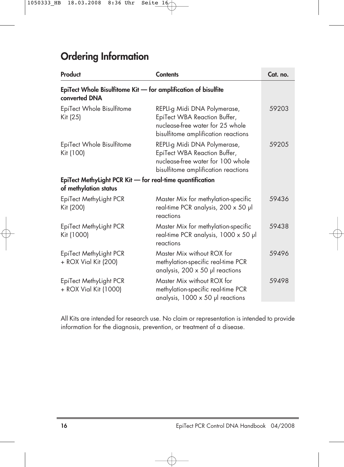### **Ordering Information**

| Product                                                                            | <b>Contents</b>                                                                                                                          | Cat. no. |
|------------------------------------------------------------------------------------|------------------------------------------------------------------------------------------------------------------------------------------|----------|
| EpiTect Whole Bisulfitome Kit - for amplification of bisulfite<br>converted DNA    |                                                                                                                                          |          |
| EpiTect Whole Bisulfitome<br>Kit (25)                                              | REPLI-g Midi DNA Polymerase,<br>EpiTect WBA Reaction Buffer,<br>nuclease-free water for 25 whole<br>bisulfitome amplification reactions  | 59203    |
| EpiTect Whole Bisulfitome<br>Kit (100)                                             | REPLI-g Midi DNA Polymerase,<br>EpiTect WBA Reaction Buffer,<br>nuclease-free water for 100 whole<br>bisulfitome amplification reactions | 59205    |
| EpiTect MethyLight PCR Kit - for real-time quantification<br>of methylation status |                                                                                                                                          |          |
| EpiTect MethyLight PCR<br>Kit (200)                                                | Master Mix for methylation-specific<br>real-time PCR analysis, 200 x 50 µl<br>reactions                                                  | 59436    |
| EpiTect MethyLight PCR<br>Kit (1000)                                               | Master Mix for methylation-specific<br>real-time PCR analysis, 1000 x 50 µl<br>reactions                                                 | 59438    |
| EpiTect MethyLight PCR<br>+ ROX Vial Kit (200)                                     | Master Mix without ROX for<br>methylation-specific real-time PCR<br>analysis, $200 \times 50$ µl reactions                               | 59496    |
| EpiTect MethyLight PCR<br>+ ROX Vial Kit (1000)                                    | Master Mix without ROX for<br>methylation-specific real-time PCR<br>analysis, $1000 \times 50$ pl reactions                              | 59498    |

All Kits are intended for research use. No claim or representation is intended to provide information for the diagnosis, prevention, or treatment of a disease.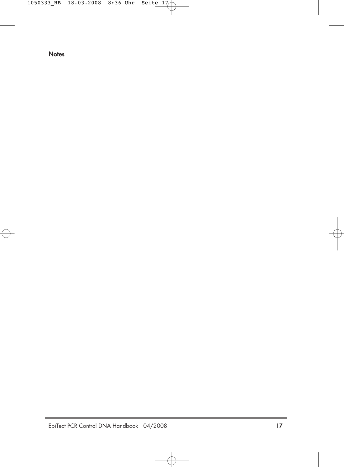**Notes**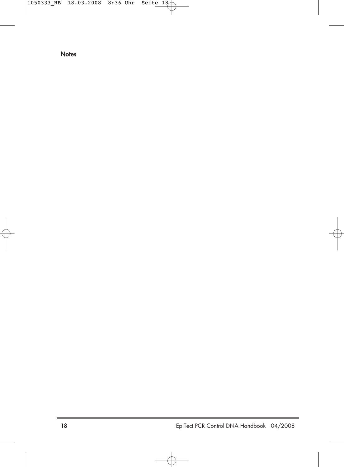**Notes**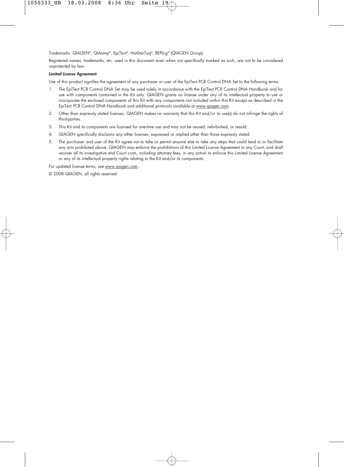Trademarks: QIAGEN®, QIAamp®, EpiTect®, HotStarTaq®, REPLI-g® (QIAGEN Group).

Registered names, trademarks, etc. used in this document even when not specifically marked as such, are not to be considered unprotected by law.

#### **Limited License Agreement**

Use of this product signifies the agreement of any purchaser or user of the EpiTect PCR Control DNA Set to the following terms:

- 1. The EpiTect PCR Control DNA Set may be used solely in accordance with the EpiTect PCR Control DNA Handbook and for use with components contained in the Kit only. QIAGEN grants no license under any of its intellectual property to use or incorporate the enclosed components of this Kit with any components not included within this Kit except as described in the EpiTect PCR Control DNA Handbook and additional protocols available at www.qiagen.com .
- 2. Other than expressly stated licenses, QIAGEN makes no warranty that this Kit and/or its use(s) do not infringe the rights of third-parties.
- 3. This Kit and its components are licensed for one-time use and may not be reused, refurbished, or resold.
- 4. QIAGEN specifically disclaims any other licenses, expressed or implied other than those expressly stated.
- 5. The purchaser and user of the Kit agree not to take or permit anyone else to take any steps that could lead to or facilitate any acts prohibited above. QIAGEN may enforce the prohibitions of this Limited License Agreement in any Court, and shall recover all its investigative and Court costs, including attorney fees, in any action to enforce this Limited License Agreement or any of its intellectual property rights relating to the Kit and/or its components.

For updated license terms, see www.qiagen.com .

© 2008 QIAGEN, all rights reserved.